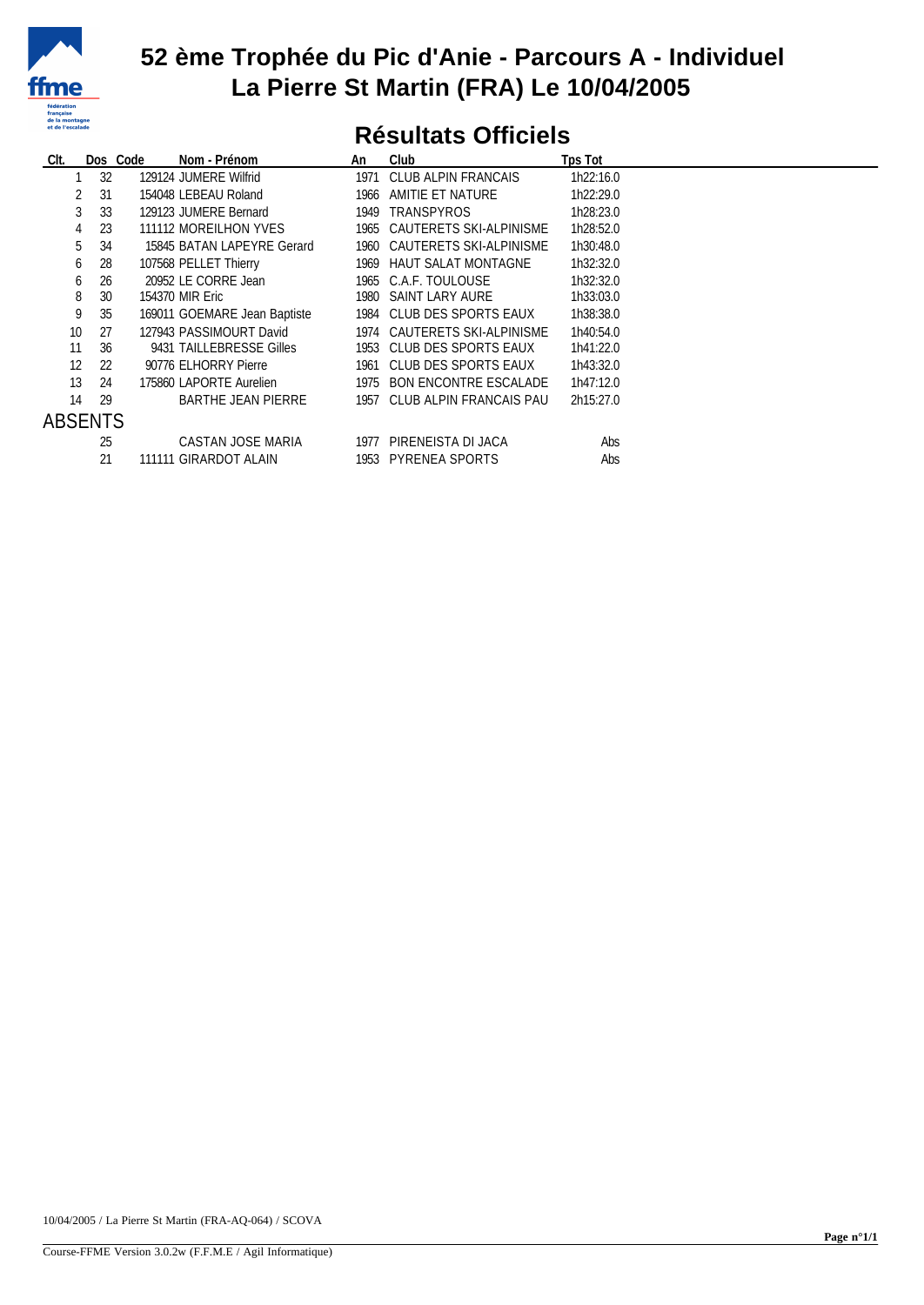

### **52 ème Trophée du Pic d'Anie - Parcours A - Individuel La Pierre St Martin (FRA) Le 10/04/2005**

## **Résultats Officiels**

| CIt.            |         | Dos Code<br>Nom - Prénom     | An   | Club                         | Tps Tot   |
|-----------------|---------|------------------------------|------|------------------------------|-----------|
|                 | 32      | 129124 JUMERE Wilfrid        |      | 1971 CLUB ALPIN FRANCAIS     | 1h22:16.0 |
|                 | 31      | 154048 LEBEAU Roland         | 1966 | AMITIE ET NATURE             | 1h22:29.0 |
|                 | 33      | 129123 JUMERE Bernard        | 1949 | TRANSPYROS                   | 1h28:23.0 |
| 4               | 23      | 111112 MOREILHON YVES        |      | 1965 CAUTERETS SKI-ALPINISME | 1h28:52.0 |
|                 | 5<br>34 | 15845 BATAN LAPEYRE Gerard   |      | 1960 CAUTERETS SKI-ALPINISME | 1h30:48.0 |
| 6               | 28      | 107568 PELLET Thierry        |      | 1969 HAUT SALAT MONTAGNE     | 1h32:32.0 |
| 6               | 26      | 20952 LE CORRE Jean          |      | 1965 C.A.F. TOULOUSE         | 1h32:32.0 |
| 8               | 30      | 154370 MIR Eric              |      | 1980 SAINT LARY AURE         | 1h33:03.0 |
| 9               | 35      | 169011 GOEMARE Jean Baptiste |      | 1984 CLUB DES SPORTS EAUX    | 1h38:38.0 |
| 10 <sup>°</sup> | 27      | 127943 PASSIMOURT David      |      | 1974 CAUTERETS SKI-ALPINISME | 1h40:54.0 |
| 11              | 36      | 9431 TAILLEBRESSE Gilles     |      | 1953 CLUB DES SPORTS EAUX    | 1h41:22.0 |
| 12              | 22      | 90776 ELHORRY Pierre         |      | 1961 CLUB DES SPORTS EAUX    | 1h43:32.0 |
| 13              | 24      | 175860 LAPORTE Aurelien      |      | 1975 BON ENCONTRE ESCALADE   | 1h47:12.0 |
| 14              | 29      | <b>BARTHE JEAN PIERRE</b>    |      | 1957 CLUB ALPIN FRANCAIS PAU | 2h15:27.0 |
| ABSENTS         |         |                              |      |                              |           |
|                 | 25      | CASTAN JOSE MARIA            | 1977 | PIRENEISTA DI JACA           | Abs       |
|                 | 21      | 111111 GIRARDOT ALAIN        |      | 1953 PYRENEA SPORTS          | Abs       |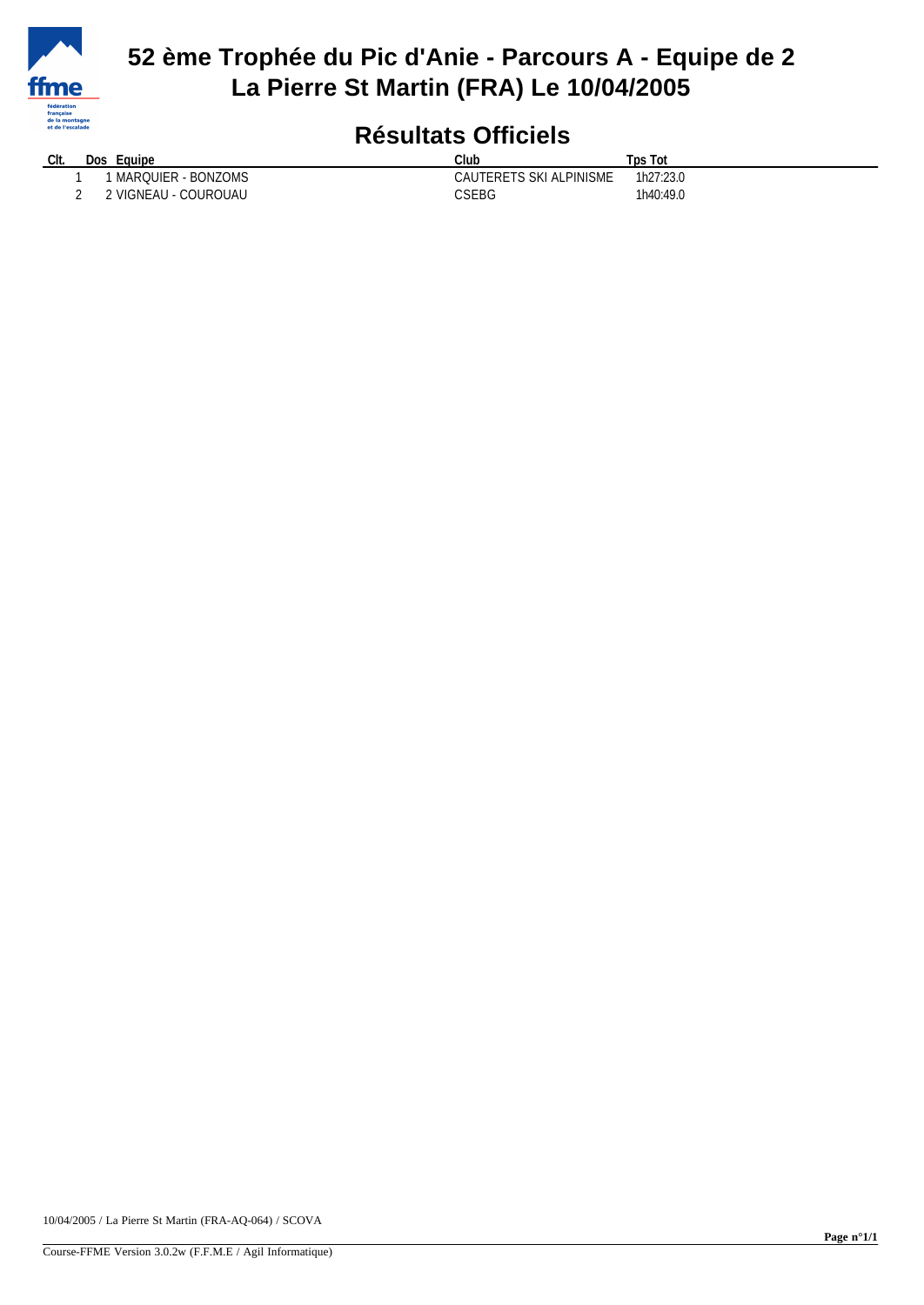

## **52 ème Trophée du Pic d'Anie - Parcours A - Equipe de 2 La Pierre St Martin (FRA) Le 10/04/2005**

# **Résultats Officiels**

| Clt. | Dos | Equipe               | Club                    | Tps Tot   |
|------|-----|----------------------|-------------------------|-----------|
|      |     | MARQUIER - BONZOMS   | CAUTERETS SKI ALPINISME | 1h27:23.0 |
|      |     | ! VIGNEAU - COUROUAU | CSEBG                   | 1h40:49.0 |

10/04/2005 / La Pierre St Martin (FRA-AQ-064) / SCOVA